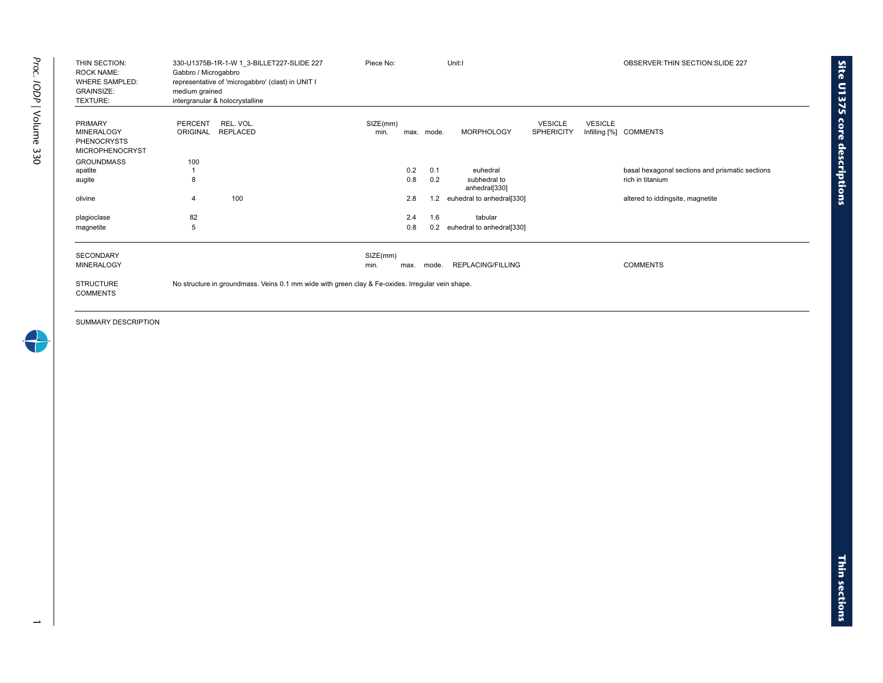| THIN SECTION:<br><b>ROCK NAME:</b><br><b>WHERE SAMPLED:</b><br><b>GRAINSIZE:</b><br><b>TEXTURE:</b> | 330-U1375B-1R-1-W 1 3-BILLET227-SLIDE 227<br>Gabbro / Microgabbro<br>representative of 'microgabbro' (clast) in UNIT I<br>medium grained<br>intergranular & holocrystalline | Piece No:                |            | Unit:I                        | OBSERVER: THIN SECTION: SLIDE 227   |                |                                                 |
|-----------------------------------------------------------------------------------------------------|-----------------------------------------------------------------------------------------------------------------------------------------------------------------------------|--------------------------|------------|-------------------------------|-------------------------------------|----------------|-------------------------------------------------|
| <b>PRIMARY</b><br><b>MINERALOGY</b><br><b>PHENOCRYSTS</b><br><b>MICROPHENOCRYST</b>                 | PERCENT<br>REL. VOL.<br><b>REPLACED</b><br><b>ORIGINAL</b>                                                                                                                  | SIZE(mm)<br>min.         | max. mode. | <b>MORPHOLOGY</b>             | <b>VESICLE</b><br><b>SPHERICITY</b> | <b>VESICLE</b> | Infilling [%] COMMENTS                          |
| <b>GROUNDMASS</b>                                                                                   | 100                                                                                                                                                                         |                          |            |                               |                                     |                |                                                 |
| apatite                                                                                             |                                                                                                                                                                             | 0.2                      | 0.1        | euhedral                      |                                     |                | basal hexagonal sections and prismatic sections |
| augite                                                                                              | 8                                                                                                                                                                           | 0.8                      | 0.2        | subhedral to<br>anhedral[330] |                                     |                | rich in titanium                                |
| olivine                                                                                             | 100<br>$\overline{4}$                                                                                                                                                       | 2.8                      | 1.2        | euhedral to anhedral[330]     |                                     |                | altered to iddingsite, magnetite                |
| plagioclase                                                                                         | 82                                                                                                                                                                          | 2.4                      | 1.6        | tabular                       |                                     |                |                                                 |
| magnetite                                                                                           | 5                                                                                                                                                                           | 0.8                      | 0.2        | euhedral to anhedral[330]     |                                     |                |                                                 |
| <b>SECONDARY</b><br><b>MINERALOGY</b>                                                               |                                                                                                                                                                             | SIZE(mm)<br>min.<br>max. | mode.      | <b>REPLACING/FILLING</b>      |                                     |                | <b>COMMENTS</b>                                 |
| <b>STRUCTURE</b><br><b>COMMENTS</b>                                                                 | No structure in groundmass. Veins 0.1 mm wide with green clay & Fe-oxides. Irregular vein shape.                                                                            |                          |            |                               |                                     |                |                                                 |

SUMMARY DESCRIPTION

 $\rightarrow$ 

**Site U1375 core** 

**descriptions**